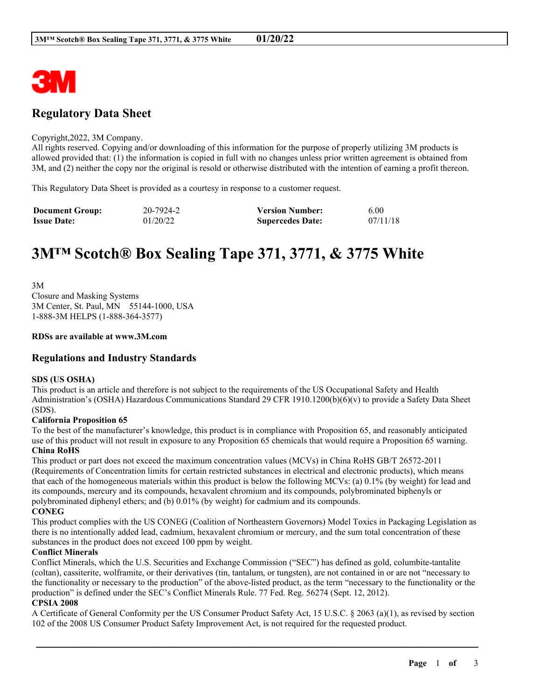

# **Regulatory Data Sheet**

#### Copyright,2022, 3M Company.

All rights reserved. Copying and/or downloading of this information for the purpose of properly utilizing 3M products is allowed provided that: (1) the information is copied in full with no changes unless prior written agreement is obtained from 3M, and (2) neither the copy nor the original is resold or otherwise distributed with the intention of earning a profit thereon.

This Regulatory Data Sheet is provided as a courtesy in response to a customer request.

| <b>Document Group:</b> | 20-7924-2 | <b>Version Number:</b>  | 6.00     |
|------------------------|-----------|-------------------------|----------|
| <b>Issue Date:</b>     | 01/20/22  | <b>Supercedes Date:</b> | 07/11/18 |

# **3M™ Scotch® Box Sealing Tape 371, 3771, & 3775 White**

3M Closure and Masking Systems 3M Center, St. Paul, MN 55144-1000, USA 1-888-3M HELPS (1-888-364-3577)

#### **RDSs are available at www.3M.com**

# **Regulations and Industry Standards**

#### **SDS (US OSHA)**

This product is an article and therefore is not subject to the requirements of the US Occupational Safety and Health Administration's (OSHA) Hazardous Communications Standard 29 CFR 1910.1200(b)(6)(v) to provide a Safety Data Sheet (SDS).

#### **California Proposition 65**

To the best of the manufacturer's knowledge, this product is in compliance with Proposition 65, and reasonably anticipated use of this product will not result in exposure to any Proposition 65 chemicals that would require a Proposition 65 warning. **China RoHS**

This product or part does not exceed the maximum concentration values (MCVs) in China RoHS GB/T 26572-2011 (Requirements of Concentration limits for certain restricted substances in electrical and electronic products), which means that each of the homogeneous materials within this product is below the following MCVs: (a) 0.1% (by weight) for lead and its compounds, mercury and its compounds, hexavalent chromium and its compounds, polybrominated biphenyls or polybrominated diphenyl ethers; and (b) 0.01% (by weight) for cadmium and its compounds. **CONEG**

This product complies with the US CONEG (Coalition of Northeastern Governors) Model Toxics in Packaging Legislation as there is no intentionally added lead, cadmium, hexavalent chromium or mercury, and the sum total concentration of these substances in the product does not exceed 100 ppm by weight.

#### **Conflict Minerals**

Conflict Minerals, which the U.S. Securities and Exchange Commission ("SEC") has defined as gold, columbite-tantalite (coltan), cassiterite, wolframite, or their derivatives (tin, tantalum, or tungsten), are not contained in or are not "necessary to the functionality or necessary to the production" of the above-listed product, as the term "necessary to the functionality or the production" is defined under the SEC's Conflict Minerals Rule. 77 Fed. Reg. 56274 (Sept. 12, 2012).

#### **CPSIA 2008**

A Certificate of General Conformity per the US Consumer Product Safety Act, 15 U.S.C. § 2063 (a)(1), as revised by section 102 of the 2008 US Consumer Product Safety Improvement Act, is not required for the requested product.

\_\_\_\_\_\_\_\_\_\_\_\_\_\_\_\_\_\_\_\_\_\_\_\_\_\_\_\_\_\_\_\_\_\_\_\_\_\_\_\_\_\_\_\_\_\_\_\_\_\_\_\_\_\_\_\_\_\_\_\_\_\_\_\_\_\_\_\_\_\_\_\_\_\_\_\_\_\_\_\_\_\_\_\_\_\_\_\_\_\_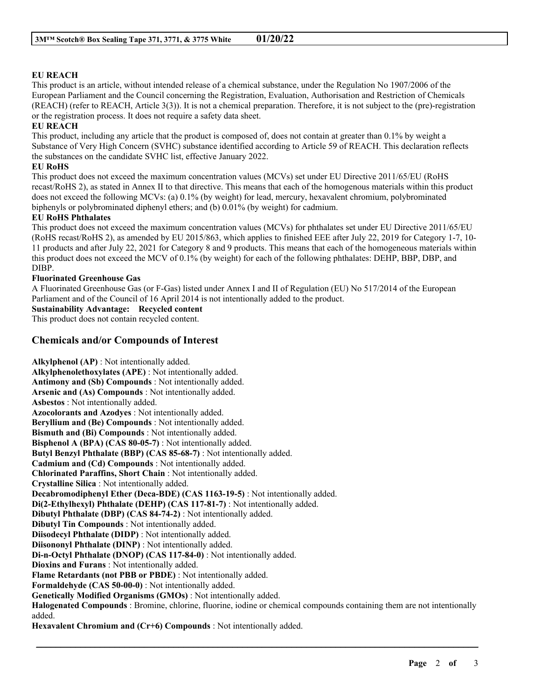### **EU REACH**

This product is an article, without intended release of a chemical substance, under the Regulation No 1907/2006 of the European Parliament and the Council concerning the Registration, Evaluation, Authorisation and Restriction of Chemicals (REACH) (refer to REACH, Article 3(3)). It is not a chemical preparation. Therefore, it is not subject to the (pre)-registration or the registration process. It does not require a safety data sheet.

#### **EU REACH**

This product, including any article that the product is composed of, does not contain at greater than 0.1% by weight a Substance of Very High Concern (SVHC) substance identified according to Article 59 of REACH. This declaration reflects the substances on the candidate SVHC list, effective January 2022.

#### **EU RoHS**

This product does not exceed the maximum concentration values (MCVs) set under EU Directive 2011/65/EU (RoHS recast/RoHS 2), as stated in Annex II to that directive. This means that each of the homogenous materials within this product does not exceed the following MCVs: (a) 0.1% (by weight) for lead, mercury, hexavalent chromium, polybrominated biphenyls or polybrominated diphenyl ethers; and (b) 0.01% (by weight) for cadmium.

#### **EU RoHS Phthalates**

This product does not exceed the maximum concentration values (MCVs) for phthalates set under EU Directive 2011/65/EU (RoHS recast/RoHS 2), as amended by EU 2015/863, which applies to finished EEE after July 22, 2019 for Category 1-7, 10- 11 products and after July 22, 2021 for Category 8 and 9 products. This means that each of the homogeneous materials within this product does not exceed the MCV of 0.1% (by weight) for each of the following phthalates: DEHP, BBP, DBP, and DIBP.

#### **Fluorinated Greenhouse Gas**

A Fluorinated Greenhouse Gas (or F-Gas) listed under Annex I and II of Regulation (EU) No 517/2014 of the European Parliament and of the Council of 16 April 2014 is not intentionally added to the product.

#### **Sustainability Advantage: Recycled content**

This product does not contain recycled content.

# **Chemicals and/or Compounds of Interest**

**Alkylphenol (AP)** : Not intentionally added. **Alkylphenolethoxylates (APE)** : Not intentionally added. **Antimony and (Sb) Compounds** : Not intentionally added. **Arsenic and (As) Compounds** : Not intentionally added. **Asbestos** : Not intentionally added. **Azocolorants and Azodyes** : Not intentionally added. **Beryllium and (Be) Compounds** : Not intentionally added. **Bismuth and (Bi) Compounds** : Not intentionally added. **Bisphenol A (BPA) (CAS 80-05-7)** : Not intentionally added. **Butyl Benzyl Phthalate (BBP) (CAS 85-68-7)** : Not intentionally added. **Cadmium and (Cd) Compounds** : Not intentionally added. **Chlorinated Paraffins, Short Chain** : Not intentionally added. **Crystalline Silica** : Not intentionally added. **Decabromodiphenyl Ether (Deca-BDE) (CAS 1163-19-5)** : Not intentionally added. **Di(2-Ethylhexyl) Phthalate (DEHP) (CAS 117-81-7)** : Not intentionally added. **Dibutyl Phthalate (DBP) (CAS 84-74-2)** : Not intentionally added. **Dibutyl Tin Compounds** : Not intentionally added. **Diisodecyl Phthalate (DIDP)** : Not intentionally added. **Diisononyl Phthalate (DINP)** : Not intentionally added. **Di-n-Octyl Phthalate (DNOP) (CAS 117-84-0)** : Not intentionally added. **Dioxins and Furans** : Not intentionally added. **Flame Retardants (not PBB or PBDE)** : Not intentionally added. **Formaldehyde (CAS 50-00-0)** : Not intentionally added. **Genetically Modified Organisms (GMOs)** : Not intentionally added. **Halogenated Compounds** : Bromine, chlorine, fluorine, iodine or chemical compounds containing them are not intentionally added. **Hexavalent Chromium and (Cr+6) Compounds** : Not intentionally added.

\_\_\_\_\_\_\_\_\_\_\_\_\_\_\_\_\_\_\_\_\_\_\_\_\_\_\_\_\_\_\_\_\_\_\_\_\_\_\_\_\_\_\_\_\_\_\_\_\_\_\_\_\_\_\_\_\_\_\_\_\_\_\_\_\_\_\_\_\_\_\_\_\_\_\_\_\_\_\_\_\_\_\_\_\_\_\_\_\_\_